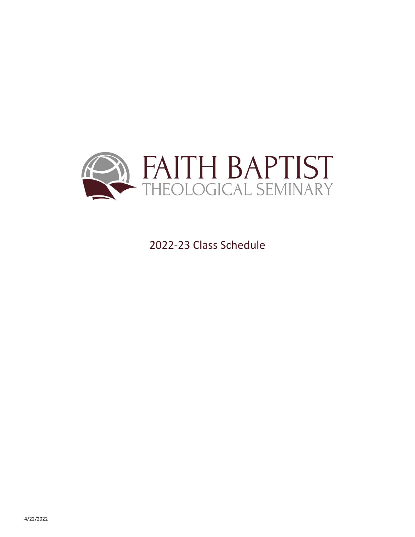

2022-23 Class Schedule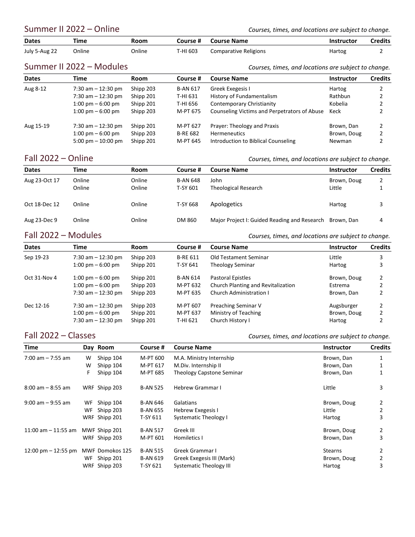Summer II 2022 – Online *Courses, times, and locations are subject to change*.

| <b>Dates</b>  | Time                                  | Room        | Course # | <b>Course Name</b>                                  | <b>Instructor</b>                                    | <b>Credits</b> |
|---------------|---------------------------------------|-------------|----------|-----------------------------------------------------|------------------------------------------------------|----------------|
| July 5-Aug 22 | Online                                | Online      | T-HI 603 | <b>Comparative Religions</b>                        | Hartog                                               |                |
|               | Summer II 2022 – Modules              |             |          |                                                     | Courses, times, and locations are subject to change. |                |
| <b>Datas</b>  | $T: \mathbb{R}^n \times \mathbb{R}^n$ | $D - 2 - 2$ |          | $C_{\text{a}11222}$ $\mu$ $C_{\text{a}11222}$ Newse | .                                                    | $C = -11$      |

| <b>Dates</b> | Time                                | Room      | Course #        | <b>Course Name</b>                           | <b>Instructor</b> | <b>Credits</b> |
|--------------|-------------------------------------|-----------|-----------------|----------------------------------------------|-------------------|----------------|
| Aug 8-12     | 7:30 am $-$ 12:30 pm                | Shipp 203 | <b>B-AN 617</b> | Greek Exegesis I                             | Hartog            |                |
|              | 7:30 am $-$ 12:30 pm                | Shipp 201 | T-HI 631        | History of Fundamentalism                    | Rathbun           |                |
|              | $1:00 \text{ pm} - 6:00 \text{ pm}$ | Shipp 201 | T-HI 656        | Contemporary Christianity                    | Kobelia           |                |
|              | $1:00 \text{ pm} - 6:00 \text{ pm}$ | Shipp 203 | M-PT 675        | Counseling Victims and Perpetrators of Abuse | Keck              |                |
| Aug 15-19    | 7:30 am $-$ 12:30 pm                | Shipp 201 | M-PT 627        | Prayer: Theology and Praxis                  | Brown, Dan        |                |
|              | $1:00 \text{ pm} - 6:00 \text{ pm}$ | Shipp 203 | <b>B-RE 682</b> | <b>Hermeneutics</b>                          | Brown, Doug       |                |
|              | 5:00 pm $-$ 10:00 pm                | Shipp 201 | M-PT 645        | Introduction to Biblical Counseling          | Newman            |                |

Fall 2022 – Online *Courses, times, and locations are subject to change.*

| <b>Dates</b>  | Time   | Room   | Course #        | Course Name                                             | <b>Instructor</b> | <b>Credits</b> |
|---------------|--------|--------|-----------------|---------------------------------------------------------|-------------------|----------------|
| Aug 23-Oct 17 | Online | Online | <b>B-AN 648</b> | John                                                    | Brown, Doug       |                |
|               | Online | Online | T-SY 601        | <b>Theological Research</b>                             | Little            |                |
| Oct 18-Dec 12 | Online | Online | T-SY 668        | Apologetics                                             | Hartog            |                |
| Aug 23-Dec 9  | Online | Online | DM 860          | Major Project I: Guided Reading and Research Brown, Dan |                   | 4              |

Fall 2022 – Modules *Courses, times, and locations are subject to change.*

| <b>Dates</b> | <b>Time</b>                         | Room      | Course #        | <b>Course Name</b>                 | <b>Instructor</b> | <b>Credits</b> |
|--------------|-------------------------------------|-----------|-----------------|------------------------------------|-------------------|----------------|
| Sep 19-23    | 7:30 am $-$ 12:30 pm                | Shipp 203 | <b>B-RE 611</b> | Old Testament Seminar              | Little            | 3              |
|              | $1:00 \text{ pm} - 6:00 \text{ pm}$ | Shipp 201 | T-SY 641        | <b>Theology Seminar</b>            | Hartog            |                |
| Oct 31-Nov 4 | 1:00 pm $-6:00$ pm                  | Shipp 201 | <b>B-AN 614</b> | Pastoral Epistles                  | Brown, Doug       | 2              |
|              | $1:00 \text{ pm} - 6:00 \text{ pm}$ | Shipp 203 | M-PT 632        | Church Planting and Revitalization | Estrema           |                |
|              | 7:30 am $-$ 12:30 pm                | Shipp 203 | M-PT 635        | Church Administration I            | Brown, Dan        |                |
| Dec 12-16    | 7:30 am $-$ 12:30 pm                | Shipp 203 | M-PT 607        | Preaching Seminar V                | Augsburger        |                |
|              | $1:00 \text{ pm} - 6:00 \text{ pm}$ | Shipp 201 | M-PT 637        | Ministry of Teaching               | Brown, Doug       |                |
|              | 7:30 am $-$ 12:30 pm                | Shipp 201 | T-HI 621        | Church History I                   | Hartog            |                |

Fall 2022 – Classes *Courses, times, and locations are subject to change.*

| Time                                  |    | Day Room        | Course #        | <b>Course Name</b>               | <b>Instructor</b> | <b>Credits</b> |
|---------------------------------------|----|-----------------|-----------------|----------------------------------|-------------------|----------------|
| $7:00$ am $-7:55$ am                  | W  | Shipp 104       | M-PT 600        | M.A. Ministry Internship         | Brown, Dan        |                |
|                                       | w  | Shipp 104       | M-PT 617        | M.Div. Internship II             | Brown, Dan        |                |
|                                       | F  | Shipp 104       | M-PT 685        | <b>Theology Capstone Seminar</b> | Brown, Dan        |                |
| $8:00$ am $-8:55$ am                  |    | WRF Shipp 203   | <b>B-AN 525</b> | <b>Hebrew Grammar I</b>          | Little            | 3              |
| $9:00$ am $-9:55$ am                  | WF | Shipp 104       | <b>B-AN 646</b> | Galatians                        | Brown, Doug       | 2              |
|                                       | WF | Shipp 203       | <b>B-AN 655</b> | Hebrew Exegesis I                | Little            | 2              |
|                                       |    | WRF Shipp 201   | T-SY 611        | <b>Systematic Theology I</b>     | Hartog            | 3              |
| 11:00 am $-$ 11:55 am                 |    | MWF Shipp 201   | <b>B-AN 517</b> | Greek III                        | Brown, Doug       | 2              |
|                                       |    | WRF Shipp 203   | M-PT 601        | Homiletics I                     | Brown, Dan        | 3              |
| $12:00 \text{ pm} - 12:55 \text{ pm}$ |    | MWF Domokos 125 | <b>B-AN 515</b> | Greek Grammar I                  | <b>Stearns</b>    | 2              |
|                                       | WF | Shipp 201       | <b>B-AN 619</b> | Greek Exegesis III (Mark)        | Brown, Doug       | 2              |
|                                       |    | WRF Shipp 203   | T-SY 621        | <b>Systematic Theology III</b>   | Hartog            | 3              |